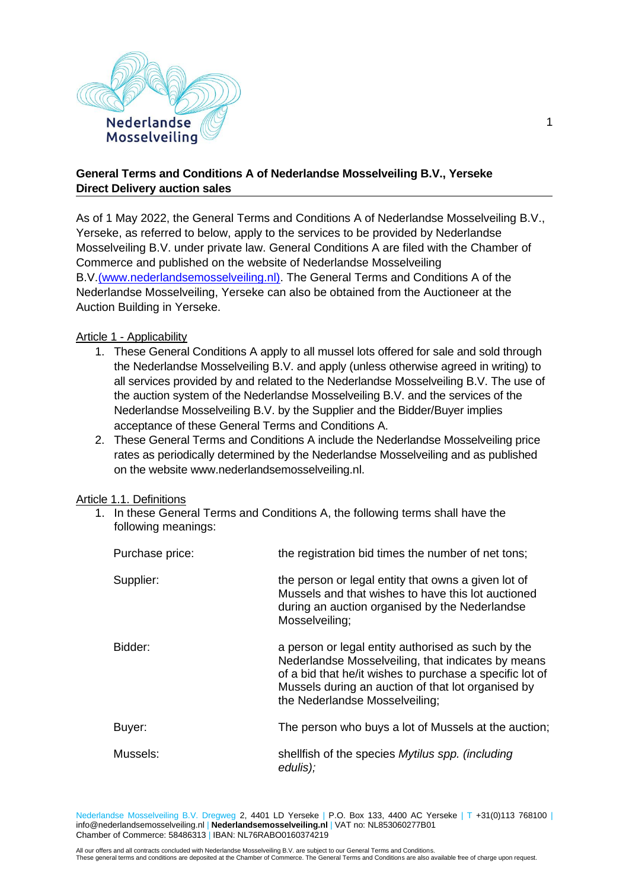

# **General Terms and Conditions A of Nederlandse Mosselveiling B.V., Yerseke Direct Delivery auction sales**

As of 1 May 2022, the General Terms and Conditions A of Nederlandse Mosselveiling B.V., Yerseke, as referred to below, apply to the services to be provided by Nederlandse Mosselveiling B.V. under private law. General Conditions A are filed with the Chamber of Commerce and published on the website of Nederlandse Mosselveiling B.V[.\(www.nederlandsemosselveiling.nl\).](http://www.nederlandsemosselveiling.nl/) The General Terms and Conditions A of the Nederlandse Mosselveiling, Yerseke can also be obtained from the Auctioneer at the Auction Building in Yerseke.

#### Article 1 - Applicability

- 1. These General Conditions A apply to all mussel lots offered for sale and sold through the Nederlandse Mosselveiling B.V. and apply (unless otherwise agreed in writing) to all services provided by and related to the Nederlandse Mosselveiling B.V. The use of the auction system of the Nederlandse Mosselveiling B.V. and the services of the Nederlandse Mosselveiling B.V. by the Supplier and the Bidder/Buyer implies acceptance of these General Terms and Conditions A.
- 2. These General Terms and Conditions A include the Nederlandse Mosselveiling price rates as periodically determined by the Nederlandse Mosselveiling and as published on the website www.nederlandsemosselveiling.nl.

#### Article 1.1. Definitions

1. In these General Terms and Conditions A, the following terms shall have the following meanings:

| Purchase price: | the registration bid times the number of net tons;                                                                                                                                                                                                           |
|-----------------|--------------------------------------------------------------------------------------------------------------------------------------------------------------------------------------------------------------------------------------------------------------|
| Supplier:       | the person or legal entity that owns a given lot of<br>Mussels and that wishes to have this lot auctioned<br>during an auction organised by the Nederlandse<br>Mosselveiling;                                                                                |
| Bidder:         | a person or legal entity authorised as such by the<br>Nederlandse Mosselveiling, that indicates by means<br>of a bid that he/it wishes to purchase a specific lot of<br>Mussels during an auction of that lot organised by<br>the Nederlandse Mosselveiling; |
| Buyer:          | The person who buys a lot of Mussels at the auction;                                                                                                                                                                                                         |
| Mussels:        | shellfish of the species Mytilus spp. (including<br>edulis);                                                                                                                                                                                                 |

All our offers and all contracts concluded with Nederlandse Mosselveiling B.V. are subject to our General Terms and Conditions.<br>These general terms and conditions are deposited at the Chamber of Commerce. The General Terms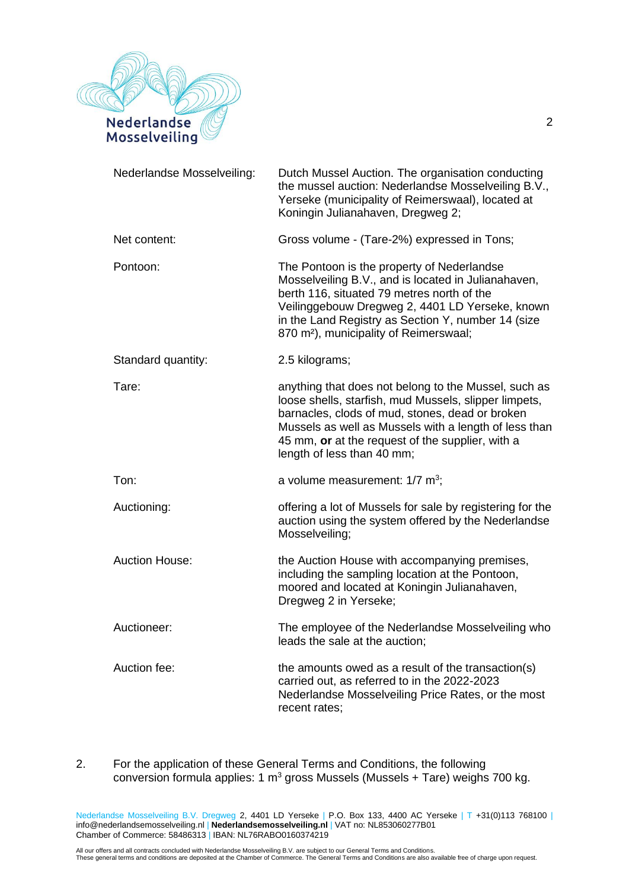

| Nederlandse Mosselveiling: | Dutch Mussel Auction. The organisation conducting<br>the mussel auction: Nederlandse Mosselveiling B.V.,<br>Yerseke (municipality of Reimerswaal), located at<br>Koningin Julianahaven, Dregweg 2;                                                                                                             |
|----------------------------|----------------------------------------------------------------------------------------------------------------------------------------------------------------------------------------------------------------------------------------------------------------------------------------------------------------|
| Net content:               | Gross volume - (Tare-2%) expressed in Tons;                                                                                                                                                                                                                                                                    |
| Pontoon:                   | The Pontoon is the property of Nederlandse<br>Mosselveiling B.V., and is located in Julianahaven,<br>berth 116, situated 79 metres north of the<br>Veilinggebouw Dregweg 2, 4401 LD Yerseke, known<br>in the Land Registry as Section Y, number 14 (size<br>870 m <sup>2</sup> ), municipality of Reimerswaal; |
| Standard quantity:         | 2.5 kilograms;                                                                                                                                                                                                                                                                                                 |
| Tare:                      | anything that does not belong to the Mussel, such as<br>loose shells, starfish, mud Mussels, slipper limpets,<br>barnacles, clods of mud, stones, dead or broken<br>Mussels as well as Mussels with a length of less than<br>45 mm, or at the request of the supplier, with a<br>length of less than 40 mm;    |
| Ton:                       | a volume measurement: $1/7$ m <sup>3</sup> ;                                                                                                                                                                                                                                                                   |
| Auctioning:                | offering a lot of Mussels for sale by registering for the<br>auction using the system offered by the Nederlandse<br>Mosselveiling;                                                                                                                                                                             |
| <b>Auction House:</b>      | the Auction House with accompanying premises,<br>including the sampling location at the Pontoon,<br>moored and located at Koningin Julianahaven,<br>Dregweg 2 in Yerseke;                                                                                                                                      |
| Auctioneer:                | The employee of the Nederlandse Mosselveiling who<br>leads the sale at the auction;                                                                                                                                                                                                                            |
| Auction fee:               | the amounts owed as a result of the transaction(s)<br>carried out, as referred to in the 2022-2023<br>Nederlandse Mosselveiling Price Rates, or the most<br>recent rates;                                                                                                                                      |

2. For the application of these General Terms and Conditions, the following conversion formula applies: 1 m<sup>3</sup> gross Mussels (Mussels + Tare) weighs 700 kg.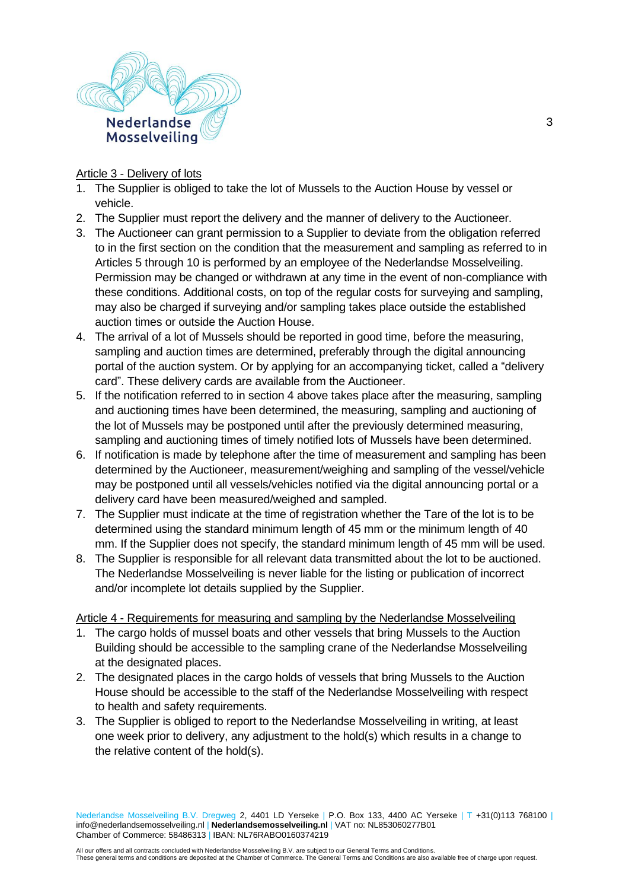

# Article 3 - Delivery of lots

- 1. The Supplier is obliged to take the lot of Mussels to the Auction House by vessel or vehicle.
- 2. The Supplier must report the delivery and the manner of delivery to the Auctioneer.
- 3. The Auctioneer can grant permission to a Supplier to deviate from the obligation referred to in the first section on the condition that the measurement and sampling as referred to in Articles 5 through 10 is performed by an employee of the Nederlandse Mosselveiling. Permission may be changed or withdrawn at any time in the event of non-compliance with these conditions. Additional costs, on top of the regular costs for surveying and sampling, may also be charged if surveying and/or sampling takes place outside the established auction times or outside the Auction House.
- 4. The arrival of a lot of Mussels should be reported in good time, before the measuring, sampling and auction times are determined, preferably through the digital announcing portal of the auction system. Or by applying for an accompanying ticket, called a "delivery card". These delivery cards are available from the Auctioneer.
- 5. If the notification referred to in section 4 above takes place after the measuring, sampling and auctioning times have been determined, the measuring, sampling and auctioning of the lot of Mussels may be postponed until after the previously determined measuring, sampling and auctioning times of timely notified lots of Mussels have been determined.
- 6. If notification is made by telephone after the time of measurement and sampling has been determined by the Auctioneer, measurement/weighing and sampling of the vessel/vehicle may be postponed until all vessels/vehicles notified via the digital announcing portal or a delivery card have been measured/weighed and sampled.
- 7. The Supplier must indicate at the time of registration whether the Tare of the lot is to be determined using the standard minimum length of 45 mm or the minimum length of 40 mm. If the Supplier does not specify, the standard minimum length of 45 mm will be used.
- 8. The Supplier is responsible for all relevant data transmitted about the lot to be auctioned. The Nederlandse Mosselveiling is never liable for the listing or publication of incorrect and/or incomplete lot details supplied by the Supplier.

Article 4 - Requirements for measuring and sampling by the Nederlandse Mosselveiling

- 1. The cargo holds of mussel boats and other vessels that bring Mussels to the Auction Building should be accessible to the sampling crane of the Nederlandse Mosselveiling at the designated places.
- 2. The designated places in the cargo holds of vessels that bring Mussels to the Auction House should be accessible to the staff of the Nederlandse Mosselveiling with respect to health and safety requirements.
- 3. The Supplier is obliged to report to the Nederlandse Mosselveiling in writing, at least one week prior to delivery, any adjustment to the hold(s) which results in a change to the relative content of the hold(s).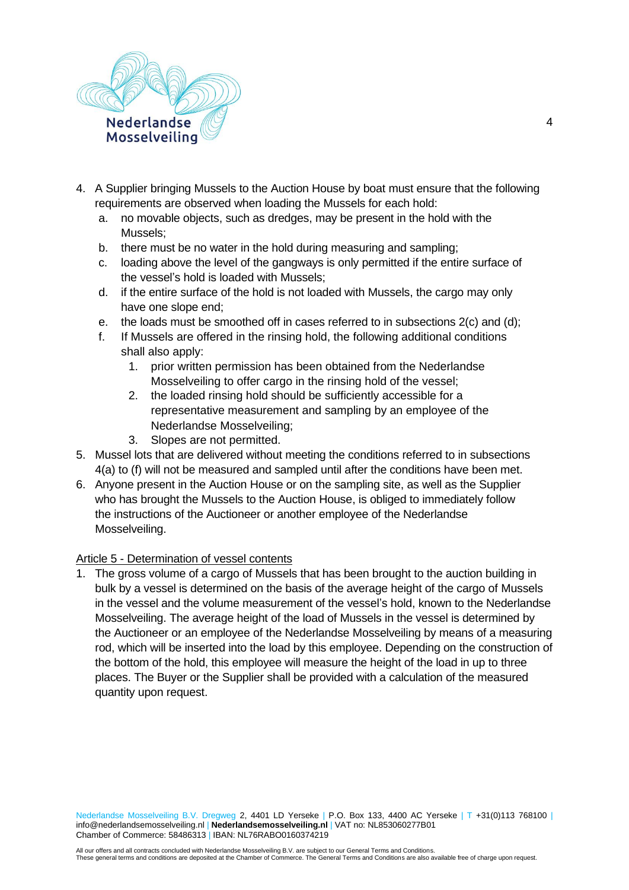

- 4. A Supplier bringing Mussels to the Auction House by boat must ensure that the following requirements are observed when loading the Mussels for each hold:
	- a. no movable objects, such as dredges, may be present in the hold with the Mussels;
	- b. there must be no water in the hold during measuring and sampling;
	- c. loading above the level of the gangways is only permitted if the entire surface of the vessel's hold is loaded with Mussels;
	- d. if the entire surface of the hold is not loaded with Mussels, the cargo may only have one slope end;
	- e. the loads must be smoothed off in cases referred to in subsections 2(c) and (d);
	- f. If Mussels are offered in the rinsing hold, the following additional conditions shall also apply:
		- 1. prior written permission has been obtained from the Nederlandse Mosselveiling to offer cargo in the rinsing hold of the vessel;
		- 2. the loaded rinsing hold should be sufficiently accessible for a representative measurement and sampling by an employee of the Nederlandse Mosselveiling;
		- 3. Slopes are not permitted.
- 5. Mussel lots that are delivered without meeting the conditions referred to in subsections 4(a) to (f) will not be measured and sampled until after the conditions have been met.
- 6. Anyone present in the Auction House or on the sampling site, as well as the Supplier who has brought the Mussels to the Auction House, is obliged to immediately follow the instructions of the Auctioneer or another employee of the Nederlandse Mosselveiling.

#### Article 5 - Determination of vessel contents

1. The gross volume of a cargo of Mussels that has been brought to the auction building in bulk by a vessel is determined on the basis of the average height of the cargo of Mussels in the vessel and the volume measurement of the vessel's hold, known to the Nederlandse Mosselveiling. The average height of the load of Mussels in the vessel is determined by the Auctioneer or an employee of the Nederlandse Mosselveiling by means of a measuring rod, which will be inserted into the load by this employee. Depending on the construction of the bottom of the hold, this employee will measure the height of the load in up to three places. The Buyer or the Supplier shall be provided with a calculation of the measured quantity upon request.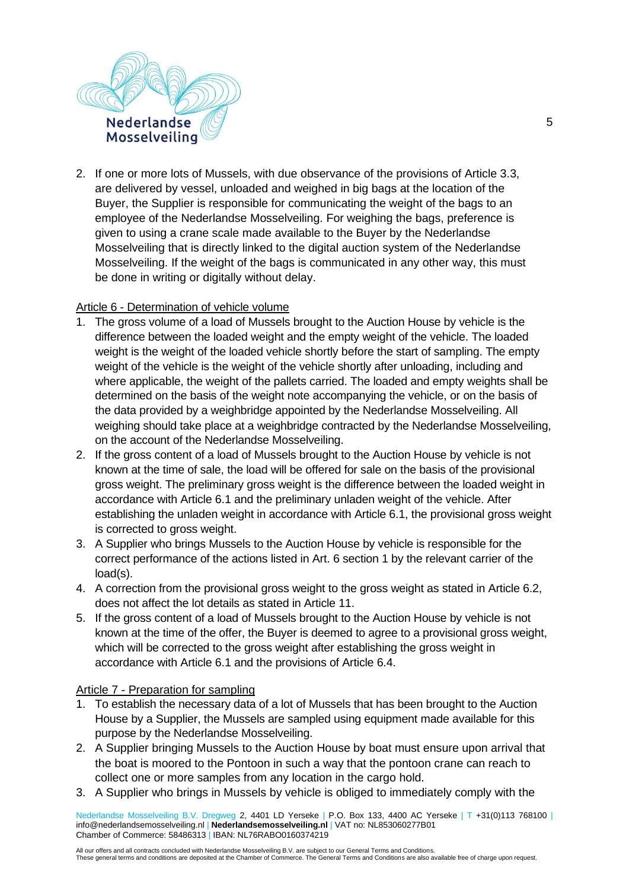

2. If one or more lots of Mussels, with due observance of the provisions of Article 3.3, are delivered by vessel, unloaded and weighed in big bags at the location of the Buyer, the Supplier is responsible for communicating the weight of the bags to an employee of the Nederlandse Mosselveiling. For weighing the bags, preference is given to using a crane scale made available to the Buyer by the Nederlandse Mosselveiling that is directly linked to the digital auction system of the Nederlandse Mosselveiling. If the weight of the bags is communicated in any other way, this must be done in writing or digitally without delay.

## Article 6 - Determination of vehicle volume

- 1. The gross volume of a load of Mussels brought to the Auction House by vehicle is the difference between the loaded weight and the empty weight of the vehicle. The loaded weight is the weight of the loaded vehicle shortly before the start of sampling. The empty weight of the vehicle is the weight of the vehicle shortly after unloading, including and where applicable, the weight of the pallets carried. The loaded and empty weights shall be determined on the basis of the weight note accompanying the vehicle, or on the basis of the data provided by a weighbridge appointed by the Nederlandse Mosselveiling. All weighing should take place at a weighbridge contracted by the Nederlandse Mosselveiling, on the account of the Nederlandse Mosselveiling.
- 2. If the gross content of a load of Mussels brought to the Auction House by vehicle is not known at the time of sale, the load will be offered for sale on the basis of the provisional gross weight. The preliminary gross weight is the difference between the loaded weight in accordance with Article 6.1 and the preliminary unladen weight of the vehicle. After establishing the unladen weight in accordance with Article 6.1, the provisional gross weight is corrected to gross weight.
- 3. A Supplier who brings Mussels to the Auction House by vehicle is responsible for the correct performance of the actions listed in Art. 6 section 1 by the relevant carrier of the load(s).
- 4. A correction from the provisional gross weight to the gross weight as stated in Article 6.2, does not affect the lot details as stated in Article 11.
- 5. If the gross content of a load of Mussels brought to the Auction House by vehicle is not known at the time of the offer, the Buyer is deemed to agree to a provisional gross weight, which will be corrected to the gross weight after establishing the gross weight in accordance with Article 6.1 and the provisions of Article 6.4.

## Article 7 - Preparation for sampling

- 1. To establish the necessary data of a lot of Mussels that has been brought to the Auction House by a Supplier, the Mussels are sampled using equipment made available for this purpose by the Nederlandse Mosselveiling.
- 2. A Supplier bringing Mussels to the Auction House by boat must ensure upon arrival that the boat is moored to the Pontoon in such a way that the pontoon crane can reach to collect one or more samples from any location in the cargo hold.
- 3. A Supplier who brings in Mussels by vehicle is obliged to immediately comply with the

Nederlandse Mosselveiling B.V. Dregweg 2, 4401 LD Yerseke | P.O. Box 133, 4400 AC Yerseke | T +31(0)113 768100 | info@nederlandsemosselveiling.nl | **Nederlandsemosselveiling.nl** | VAT no: NL853060277B01 Chamber of Commerce: 58486313 | IBAN: NL76RABO0160374219

5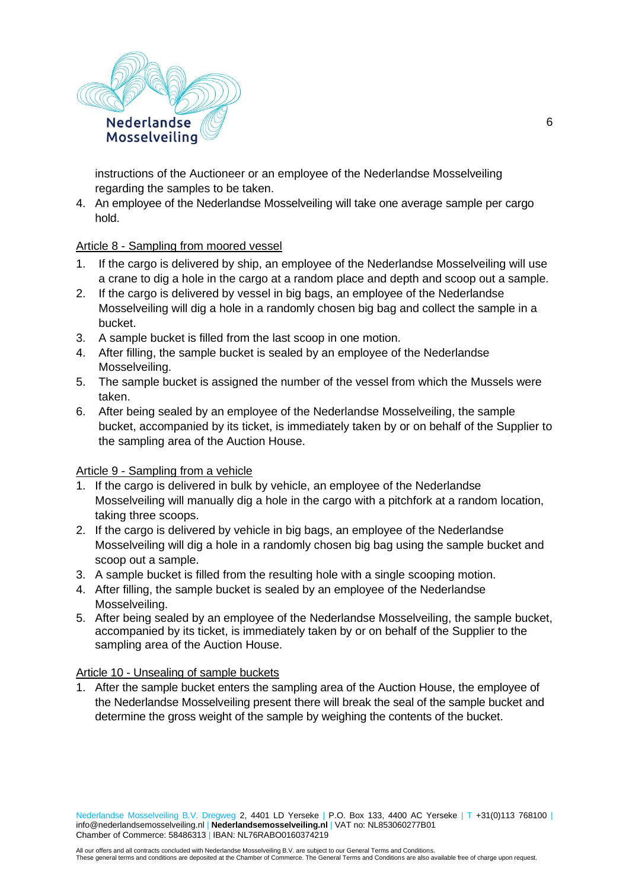

instructions of the Auctioneer or an employee of the Nederlandse Mosselveiling regarding the samples to be taken.

4. An employee of the Nederlandse Mosselveiling will take one average sample per cargo hold.

#### Article 8 - Sampling from moored vessel

- 1. If the cargo is delivered by ship, an employee of the Nederlandse Mosselveiling will use a crane to dig a hole in the cargo at a random place and depth and scoop out a sample.
- 2. If the cargo is delivered by vessel in big bags, an employee of the Nederlandse Mosselveiling will dig a hole in a randomly chosen big bag and collect the sample in a bucket.
- 3. A sample bucket is filled from the last scoop in one motion.
- 4. After filling, the sample bucket is sealed by an employee of the Nederlandse Mosselveiling.
- 5. The sample bucket is assigned the number of the vessel from which the Mussels were taken.
- 6. After being sealed by an employee of the Nederlandse Mosselveiling, the sample bucket, accompanied by its ticket, is immediately taken by or on behalf of the Supplier to the sampling area of the Auction House.

#### Article 9 - Sampling from a vehicle

- 1. If the cargo is delivered in bulk by vehicle, an employee of the Nederlandse Mosselveiling will manually dig a hole in the cargo with a pitchfork at a random location, taking three scoops.
- 2. If the cargo is delivered by vehicle in big bags, an employee of the Nederlandse Mosselveiling will dig a hole in a randomly chosen big bag using the sample bucket and scoop out a sample.
- 3. A sample bucket is filled from the resulting hole with a single scooping motion.
- 4. After filling, the sample bucket is sealed by an employee of the Nederlandse Mosselveiling.
- 5. After being sealed by an employee of the Nederlandse Mosselveiling, the sample bucket, accompanied by its ticket, is immediately taken by or on behalf of the Supplier to the sampling area of the Auction House.

#### Article 10 - Unsealing of sample buckets

1. After the sample bucket enters the sampling area of the Auction House, the employee of the Nederlandse Mosselveiling present there will break the seal of the sample bucket and determine the gross weight of the sample by weighing the contents of the bucket.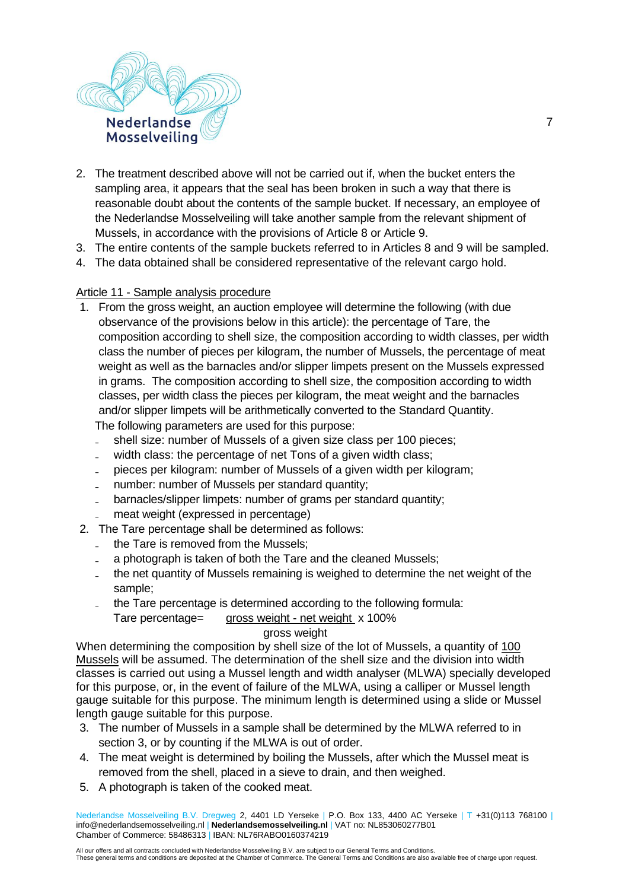

- 2. The treatment described above will not be carried out if, when the bucket enters the sampling area, it appears that the seal has been broken in such a way that there is reasonable doubt about the contents of the sample bucket. If necessary, an employee of the Nederlandse Mosselveiling will take another sample from the relevant shipment of Mussels, in accordance with the provisions of Article 8 or Article 9.
- 3. The entire contents of the sample buckets referred to in Articles 8 and 9 will be sampled.
- 4. The data obtained shall be considered representative of the relevant cargo hold.

# Article 11 - Sample analysis procedure

- 1. From the gross weight, an auction employee will determine the following (with due observance of the provisions below in this article): the percentage of Tare, the composition according to shell size, the composition according to width classes, per width class the number of pieces per kilogram, the number of Mussels, the percentage of meat weight as well as the barnacles and/or slipper limpets present on the Mussels expressed in grams. The composition according to shell size, the composition according to width classes, per width class the pieces per kilogram, the meat weight and the barnacles and/or slipper limpets will be arithmetically converted to the Standard Quantity. The following parameters are used for this purpose:
	- shell size: number of Mussels of a given size class per 100 pieces;
	- width class: the percentage of net Tons of a given width class;
	- ₋ pieces per kilogram: number of Mussels of a given width per kilogram;
	- number: number of Mussels per standard quantity;
	- barnacles/slipper limpets: number of grams per standard quantity;
	- ₋ meat weight (expressed in percentage)
- 2. The Tare percentage shall be determined as follows:
	- ₋ the Tare is removed from the Mussels;
	- a photograph is taken of both the Tare and the cleaned Mussels;
	- ₋ the net quantity of Mussels remaining is weighed to determine the net weight of the sample;
	- the Tare percentage is determined according to the following formula:

Tare percentage= gross weight - net weight x 100%

## gross weight

When determining the composition by shell size of the lot of Mussels, a quantity of 100 Mussels will be assumed. The determination of the shell size and the division into width classes is carried out using a Mussel length and width analyser (MLWA) specially developed for this purpose, or, in the event of failure of the MLWA, using a calliper or Mussel length gauge suitable for this purpose. The minimum length is determined using a slide or Mussel length gauge suitable for this purpose.

- 3. The number of Mussels in a sample shall be determined by the MLWA referred to in section 3, or by counting if the MLWA is out of order.
- 4. The meat weight is determined by boiling the Mussels, after which the Mussel meat is removed from the shell, placed in a sieve to drain, and then weighed.
- 5. A photograph is taken of the cooked meat.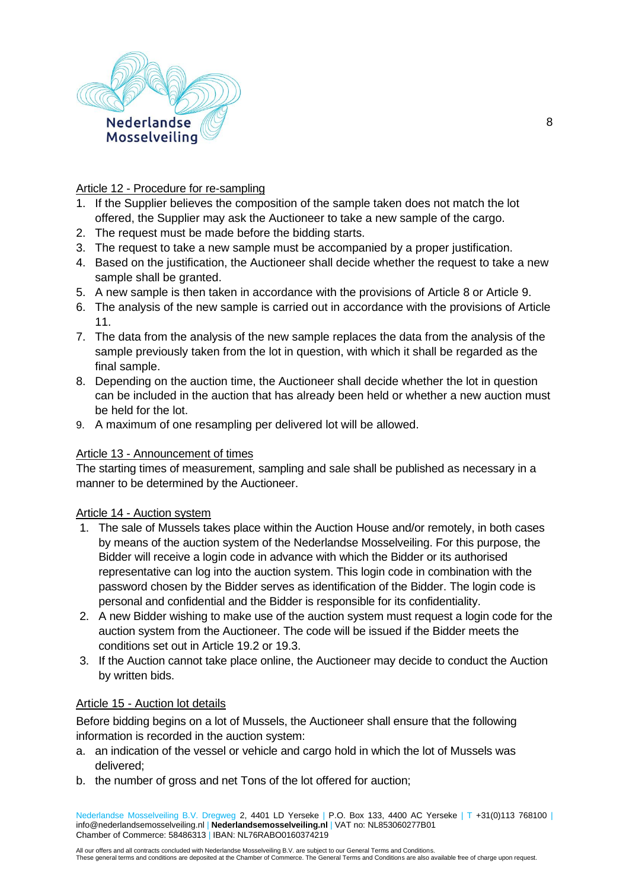

## Article 12 - Procedure for re-sampling

- 1. If the Supplier believes the composition of the sample taken does not match the lot offered, the Supplier may ask the Auctioneer to take a new sample of the cargo.
- 2. The request must be made before the bidding starts.
- 3. The request to take a new sample must be accompanied by a proper justification.
- 4. Based on the justification, the Auctioneer shall decide whether the request to take a new sample shall be granted.
- 5. A new sample is then taken in accordance with the provisions of Article 8 or Article 9.
- 6. The analysis of the new sample is carried out in accordance with the provisions of Article 11.
- 7. The data from the analysis of the new sample replaces the data from the analysis of the sample previously taken from the lot in question, with which it shall be regarded as the final sample.
- 8. Depending on the auction time, the Auctioneer shall decide whether the lot in question can be included in the auction that has already been held or whether a new auction must be held for the lot.
- 9. A maximum of one resampling per delivered lot will be allowed.

## Article 13 - Announcement of times

The starting times of measurement, sampling and sale shall be published as necessary in a manner to be determined by the Auctioneer.

## Article 14 - Auction system

- 1. The sale of Mussels takes place within the Auction House and/or remotely, in both cases by means of the auction system of the Nederlandse Mosselveiling. For this purpose, the Bidder will receive a login code in advance with which the Bidder or its authorised representative can log into the auction system. This login code in combination with the password chosen by the Bidder serves as identification of the Bidder. The login code is personal and confidential and the Bidder is responsible for its confidentiality.
- 2. A new Bidder wishing to make use of the auction system must request a login code for the auction system from the Auctioneer. The code will be issued if the Bidder meets the conditions set out in Article 19.2 or 19.3.
- 3. If the Auction cannot take place online, the Auctioneer may decide to conduct the Auction by written bids.

## Article 15 - Auction lot details

Before bidding begins on a lot of Mussels, the Auctioneer shall ensure that the following information is recorded in the auction system:

- a. an indication of the vessel or vehicle and cargo hold in which the lot of Mussels was delivered;
- b. the number of gross and net Tons of the lot offered for auction;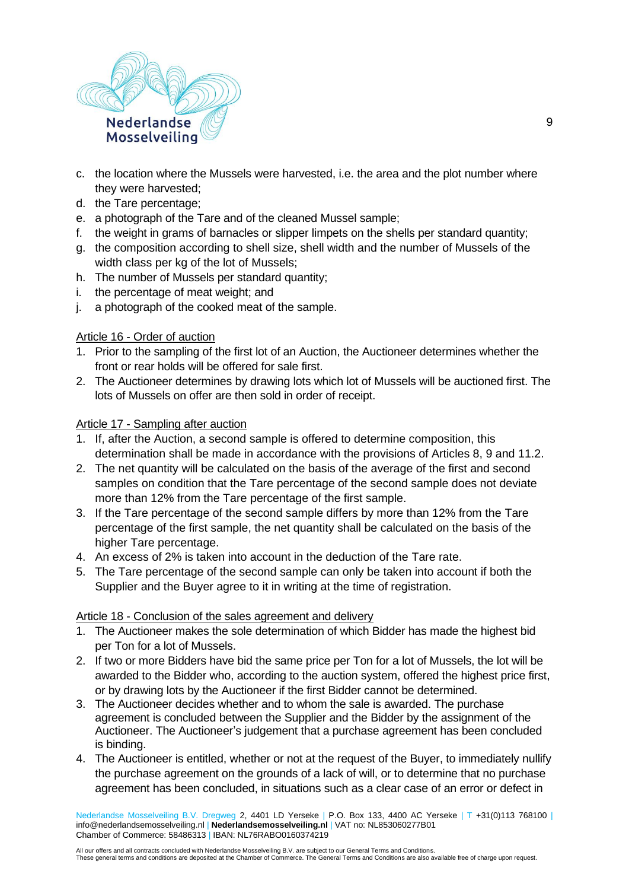

- c. the location where the Mussels were harvested, i.e. the area and the plot number where they were harvested;
- d. the Tare percentage;
- e. a photograph of the Tare and of the cleaned Mussel sample;
- f. the weight in grams of barnacles or slipper limpets on the shells per standard quantity;
- g. the composition according to shell size, shell width and the number of Mussels of the width class per kg of the lot of Mussels;
- h. The number of Mussels per standard quantity;
- i. the percentage of meat weight; and
- j. a photograph of the cooked meat of the sample.

## Article 16 - Order of auction

- 1. Prior to the sampling of the first lot of an Auction, the Auctioneer determines whether the front or rear holds will be offered for sale first.
- 2. The Auctioneer determines by drawing lots which lot of Mussels will be auctioned first. The lots of Mussels on offer are then sold in order of receipt.

#### Article 17 - Sampling after auction

- 1. If, after the Auction, a second sample is offered to determine composition, this determination shall be made in accordance with the provisions of Articles 8, 9 and 11.2.
- 2. The net quantity will be calculated on the basis of the average of the first and second samples on condition that the Tare percentage of the second sample does not deviate more than 12% from the Tare percentage of the first sample.
- 3. If the Tare percentage of the second sample differs by more than 12% from the Tare percentage of the first sample, the net quantity shall be calculated on the basis of the higher Tare percentage.
- 4. An excess of 2% is taken into account in the deduction of the Tare rate.
- 5. The Tare percentage of the second sample can only be taken into account if both the Supplier and the Buyer agree to it in writing at the time of registration.

## Article 18 - Conclusion of the sales agreement and delivery

- 1. The Auctioneer makes the sole determination of which Bidder has made the highest bid per Ton for a lot of Mussels.
- 2. If two or more Bidders have bid the same price per Ton for a lot of Mussels, the lot will be awarded to the Bidder who, according to the auction system, offered the highest price first, or by drawing lots by the Auctioneer if the first Bidder cannot be determined.
- 3. The Auctioneer decides whether and to whom the sale is awarded. The purchase agreement is concluded between the Supplier and the Bidder by the assignment of the Auctioneer. The Auctioneer's judgement that a purchase agreement has been concluded is binding.
- 4. The Auctioneer is entitled, whether or not at the request of the Buyer, to immediately nullify the purchase agreement on the grounds of a lack of will, or to determine that no purchase agreement has been concluded, in situations such as a clear case of an error or defect in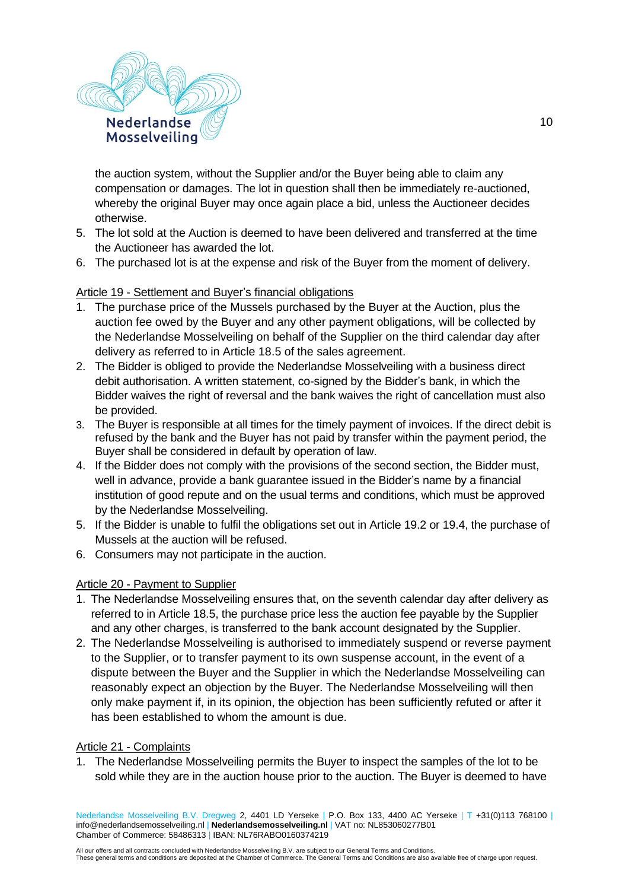

the auction system, without the Supplier and/or the Buyer being able to claim any compensation or damages. The lot in question shall then be immediately re-auctioned, whereby the original Buyer may once again place a bid, unless the Auctioneer decides otherwise.

- 5. The lot sold at the Auction is deemed to have been delivered and transferred at the time the Auctioneer has awarded the lot.
- 6. The purchased lot is at the expense and risk of the Buyer from the moment of delivery.

# Article 19 - Settlement and Buyer's financial obligations

- 1. The purchase price of the Mussels purchased by the Buyer at the Auction, plus the auction fee owed by the Buyer and any other payment obligations, will be collected by the Nederlandse Mosselveiling on behalf of the Supplier on the third calendar day after delivery as referred to in Article 18.5 of the sales agreement.
- 2. The Bidder is obliged to provide the Nederlandse Mosselveiling with a business direct debit authorisation. A written statement, co-signed by the Bidder's bank, in which the Bidder waives the right of reversal and the bank waives the right of cancellation must also be provided.
- 3. The Buyer is responsible at all times for the timely payment of invoices. If the direct debit is refused by the bank and the Buyer has not paid by transfer within the payment period, the Buyer shall be considered in default by operation of law.
- 4. If the Bidder does not comply with the provisions of the second section, the Bidder must, well in advance, provide a bank guarantee issued in the Bidder's name by a financial institution of good repute and on the usual terms and conditions, which must be approved by the Nederlandse Mosselveiling.
- 5. If the Bidder is unable to fulfil the obligations set out in Article 19.2 or 19.4, the purchase of Mussels at the auction will be refused.
- 6. Consumers may not participate in the auction.

## Article 20 - Payment to Supplier

- 1. The Nederlandse Mosselveiling ensures that, on the seventh calendar day after delivery as referred to in Article 18.5, the purchase price less the auction fee payable by the Supplier and any other charges, is transferred to the bank account designated by the Supplier.
- 2. The Nederlandse Mosselveiling is authorised to immediately suspend or reverse payment to the Supplier, or to transfer payment to its own suspense account, in the event of a dispute between the Buyer and the Supplier in which the Nederlandse Mosselveiling can reasonably expect an objection by the Buyer. The Nederlandse Mosselveiling will then only make payment if, in its opinion, the objection has been sufficiently refuted or after it has been established to whom the amount is due.

# Article 21 - Complaints

1. The Nederlandse Mosselveiling permits the Buyer to inspect the samples of the lot to be sold while they are in the auction house prior to the auction. The Buyer is deemed to have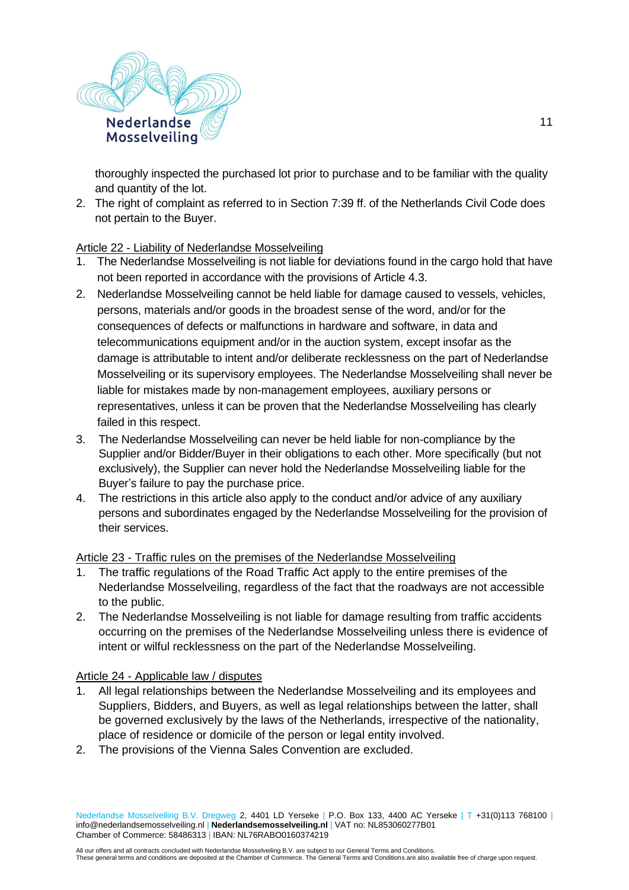

thoroughly inspected the purchased lot prior to purchase and to be familiar with the quality and quantity of the lot.

2. The right of complaint as referred to in Section 7:39 ff. of the Netherlands Civil Code does not pertain to the Buyer.

## Article 22 - Liability of Nederlandse Mosselveiling

- 1. The Nederlandse Mosselveiling is not liable for deviations found in the cargo hold that have not been reported in accordance with the provisions of Article 4.3.
- 2. Nederlandse Mosselveiling cannot be held liable for damage caused to vessels, vehicles, persons, materials and/or goods in the broadest sense of the word, and/or for the consequences of defects or malfunctions in hardware and software, in data and telecommunications equipment and/or in the auction system, except insofar as the damage is attributable to intent and/or deliberate recklessness on the part of Nederlandse Mosselveiling or its supervisory employees. The Nederlandse Mosselveiling shall never be liable for mistakes made by non-management employees, auxiliary persons or representatives, unless it can be proven that the Nederlandse Mosselveiling has clearly failed in this respect.
- 3. The Nederlandse Mosselveiling can never be held liable for non-compliance by the Supplier and/or Bidder/Buyer in their obligations to each other. More specifically (but not exclusively), the Supplier can never hold the Nederlandse Mosselveiling liable for the Buyer's failure to pay the purchase price.
- 4. The restrictions in this article also apply to the conduct and/or advice of any auxiliary persons and subordinates engaged by the Nederlandse Mosselveiling for the provision of their services.

## Article 23 - Traffic rules on the premises of the Nederlandse Mosselveiling

- 1. The traffic regulations of the Road Traffic Act apply to the entire premises of the Nederlandse Mosselveiling, regardless of the fact that the roadways are not accessible to the public.
- 2. The Nederlandse Mosselveiling is not liable for damage resulting from traffic accidents occurring on the premises of the Nederlandse Mosselveiling unless there is evidence of intent or wilful recklessness on the part of the Nederlandse Mosselveiling.

## Article 24 - Applicable law / disputes

- 1. All legal relationships between the Nederlandse Mosselveiling and its employees and Suppliers, Bidders, and Buyers, as well as legal relationships between the latter, shall be governed exclusively by the laws of the Netherlands, irrespective of the nationality, place of residence or domicile of the person or legal entity involved.
- 2. The provisions of the Vienna Sales Convention are excluded.